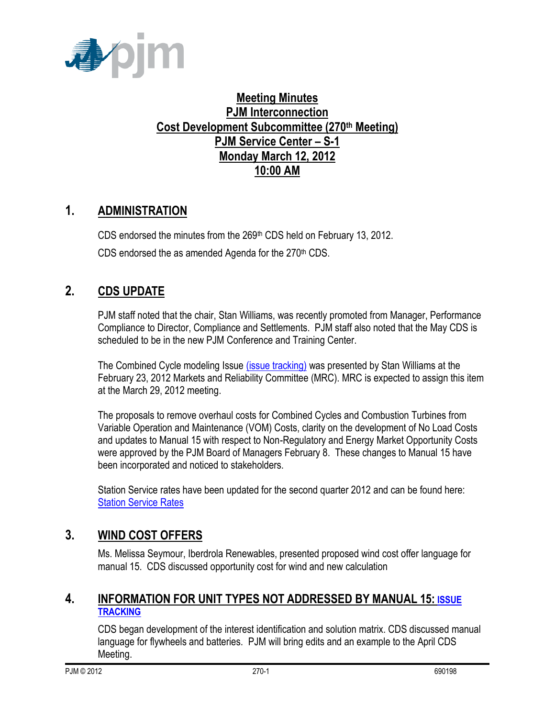

# **Meeting Minutes PJM Interconnection Cost Development Subcommittee (270th Meeting) PJM Service Center – S-1 Monday March 12, 2012 10:00 AM**

# **1. ADMINISTRATION**

CDS endorsed the minutes from the 269<sup>th</sup> CDS held on February 13, 2012. CDS endorsed the as amended Agenda for the 270<sup>th</sup> CDS.

# **2. CDS UPDATE**

PJM staff noted that the chair, Stan Williams, was recently promoted from Manager, Performance Compliance to Director, Compliance and Settlements. PJM staff also noted that the May CDS is scheduled to be in the new PJM Conference and Training Center.

The Combined Cycle modeling Issue [\(issue tracking\)](http://pjm.com/committees-and-groups/issue-tracking/issue-tracking-details.aspx?Issue=%7bE5A783B1-FF7A-4A7F-B6CE-3CD2765836F9%7d) was presented by Stan Williams at the February 23, 2012 Markets and Reliability Committee (MRC). MRC is expected to assign this item at the March 29, 2012 meeting.

The proposals to remove overhaul costs for Combined Cycles and Combustion Turbines from Variable Operation and Maintenance (VOM) Costs, clarity on the development of No Load Costs and updates to Manual 15 with respect to Non-Regulatory and Energy Market Opportunity Costs were approved by the PJM Board of Managers February 8. These changes to Manual 15 have been incorporated and noticed to stakeholders.

Station Service rates have been updated for the second quarter 2012 and can be found here: [Station Service Rates](http://pjm.com/committees-and-groups/subcommittees/cds/starvrts.aspx)

## **3. WIND COST OFFERS**

Ms. Melissa Seymour, Iberdrola Renewables, presented proposed wind cost offer language for manual 15. CDS discussed opportunity cost for wind and new calculation

#### **4. INFORMATION FOR UNIT TYPES NOT ADDRESSED BY MANUAL 15: [ISSUE](http://pjm.com/committees-and-groups/issue-tracking/issue-tracking-details.aspx?Issue=%7b3159C1F6-5498-412A-84F2-D4EA3F5834C6%7d)  [TRACKING](http://pjm.com/committees-and-groups/issue-tracking/issue-tracking-details.aspx?Issue=%7b3159C1F6-5498-412A-84F2-D4EA3F5834C6%7d)**

CDS began development of the interest identification and solution matrix. CDS discussed manual language for flywheels and batteries. PJM will bring edits and an example to the April CDS Meeting.